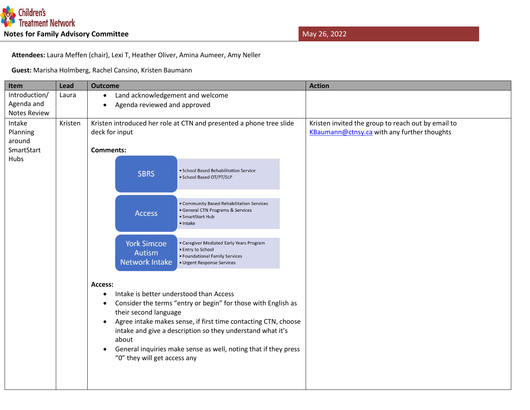

 **Attendees:** Laura Meffen (chair), Lexi T, Heather Oliver, Amina Aumeer, Amy Neller

 **Guest:** Marisha Holmberg, Rachel Cansino, Kristen Baumann

| Item                | Lead    | <b>Outcome</b>                                                                                                                |                                                                                                                                                                                                                                                                                                             | <b>Action</b>                                      |
|---------------------|---------|-------------------------------------------------------------------------------------------------------------------------------|-------------------------------------------------------------------------------------------------------------------------------------------------------------------------------------------------------------------------------------------------------------------------------------------------------------|----------------------------------------------------|
| Introduction/       | Laura   | Land acknowledgement and welcome<br>$\bullet$                                                                                 |                                                                                                                                                                                                                                                                                                             |                                                    |
| Agenda and          |         | Agenda reviewed and approved<br>$\bullet$                                                                                     |                                                                                                                                                                                                                                                                                                             |                                                    |
| <b>Notes Review</b> |         |                                                                                                                               |                                                                                                                                                                                                                                                                                                             |                                                    |
| Intake              | Kristen | Kristen introduced her role at CTN and presented a phone tree slide                                                           |                                                                                                                                                                                                                                                                                                             | Kristen invited the group to reach out by email to |
| Planning            |         | deck for input                                                                                                                |                                                                                                                                                                                                                                                                                                             | KBaumann@ctnsy.ca with any further thoughts        |
| around              |         |                                                                                                                               |                                                                                                                                                                                                                                                                                                             |                                                    |
| SmartStart          |         | <b>Comments:</b>                                                                                                              |                                                                                                                                                                                                                                                                                                             |                                                    |
| Hubs                |         | <b>SBRS</b>                                                                                                                   | · School Based Rehabilitation Service<br>· School Based OT/PT/SLP                                                                                                                                                                                                                                           |                                                    |
|                     |         | <b>Access</b>                                                                                                                 | • Community Based Rehabilitation Services<br>· General CTN Programs & Services<br>· SmartStart Hub<br>· Intake                                                                                                                                                                                              |                                                    |
|                     |         | <b>York Simcoe</b><br>Autism<br>Network Intake                                                                                | • Caregiver Mediated Early Years Program<br>· Entry to School<br>• Foundational Family Services<br>• Urgent Response Services                                                                                                                                                                               |                                                    |
|                     |         | Access:<br>$\bullet$<br>$\bullet$<br>their second language<br>$\bullet$<br>about<br>$\bullet$<br>"0" they will get access any | Intake is better understood than Access<br>Consider the terms "entry or begin" for those with English as<br>Agree intake makes sense, if first time contacting CTN, choose<br>intake and give a description so they understand what it's<br>General inquiries make sense as well, noting that if they press |                                                    |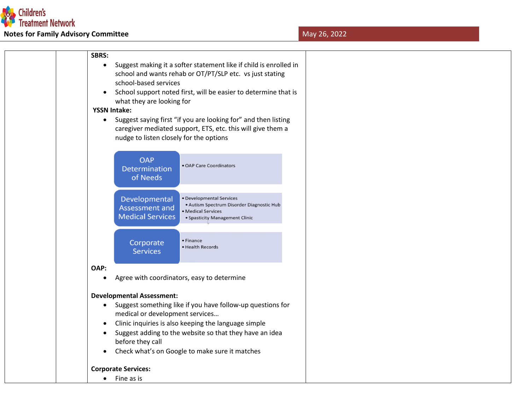

## **Notes for Family Advisory Committee May 26, 2022**

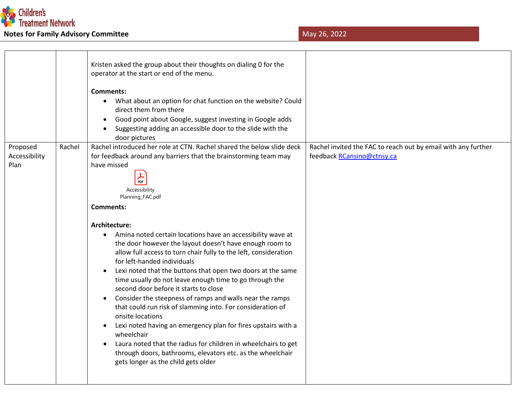

|                                     | Kristen asked the group about their thoughts on dialing 0 for the<br>operator at the start or end of the menu.<br>Comments:<br>What about an option for chat function on the website? Could<br>$\bullet$<br>direct them from there<br>Good point about Google, suggest investing in Google adds<br>Suggesting adding an accessible door to the slide with the<br>door pictures                                                                                                                                                                                                                                                                                                                                                                                                                                                                                                                         |                                                                                             |
|-------------------------------------|--------------------------------------------------------------------------------------------------------------------------------------------------------------------------------------------------------------------------------------------------------------------------------------------------------------------------------------------------------------------------------------------------------------------------------------------------------------------------------------------------------------------------------------------------------------------------------------------------------------------------------------------------------------------------------------------------------------------------------------------------------------------------------------------------------------------------------------------------------------------------------------------------------|---------------------------------------------------------------------------------------------|
| Proposed<br>Rachel<br>Accessibility | Rachel introduced her role at CTN. Rachel shared the below slide deck<br>for feedback around any barriers that the brainstorming team may                                                                                                                                                                                                                                                                                                                                                                                                                                                                                                                                                                                                                                                                                                                                                              | Rachel invited the FAC to reach out by email with any further<br>feedback RCansino@ctnsy.ca |
| Plan                                | have missed<br>PDF<br>Accessibility<br>Planning_FAC.pdf<br>Comments:<br>Architecture:<br>Amina noted certain locations have an accessibility wave at<br>$\bullet$<br>the door however the layout doesn't have enough room to<br>allow full access to turn chair fully to the left, consideration<br>for left-handed individuals<br>Lexi noted that the buttons that open two doors at the same<br>time usually do not leave enough time to go through the<br>second door before it starts to close<br>Consider the steepness of ramps and walls near the ramps<br>that could run risk of slamming into. For consideration of<br>onsite locations<br>Lexi noted having an emergency plan for fires upstairs with a<br>wheelchair<br>Laura noted that the radius for children in wheelchairs to get<br>through doors, bathrooms, elevators etc. as the wheelchair<br>gets longer as the child gets older |                                                                                             |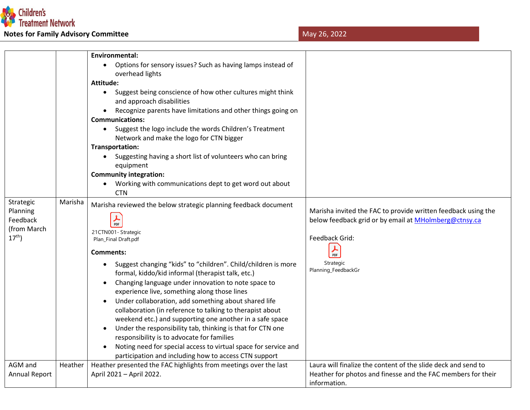

|                      |         | <b>Environmental:</b>                                            |                                                               |
|----------------------|---------|------------------------------------------------------------------|---------------------------------------------------------------|
|                      |         | Options for sensory issues? Such as having lamps instead of      |                                                               |
|                      |         | overhead lights                                                  |                                                               |
|                      |         | <b>Attitude:</b>                                                 |                                                               |
|                      |         | Suggest being conscience of how other cultures might think       |                                                               |
|                      |         | and approach disabilities                                        |                                                               |
|                      |         | Recognize parents have limitations and other things going on     |                                                               |
|                      |         | <b>Communications:</b>                                           |                                                               |
|                      |         | Suggest the logo include the words Children's Treatment          |                                                               |
|                      |         | Network and make the logo for CTN bigger                         |                                                               |
|                      |         | Transportation:                                                  |                                                               |
|                      |         | Suggesting having a short list of volunteers who can bring       |                                                               |
|                      |         | equipment                                                        |                                                               |
|                      |         | <b>Community integration:</b>                                    |                                                               |
|                      |         | Working with communications dept to get word out about           |                                                               |
|                      |         | <b>CTN</b>                                                       |                                                               |
| Strategic            | Marisha | Marisha reviewed the below strategic planning feedback document  |                                                               |
| Planning             |         |                                                                  | Marisha invited the FAC to provide written feedback using the |
| Feedback             |         | $\frac{1}{\text{PDF}}$                                           | below feedback grid or by email at MHolmberg@ctnsy.ca         |
| (from March          |         | 21CTN001- Strategic                                              |                                                               |
| $17^{th}$ )          |         | Plan_Final Draft.pdf                                             | Feedback Grid:                                                |
|                      |         | Comments:                                                        | $\frac{1}{\text{PDF}}$                                        |
|                      |         |                                                                  |                                                               |
|                      |         | Suggest changing "kids" to "children". Child/children is more    | Strategic<br>Planning_FeedbackGr                              |
|                      |         | formal, kiddo/kid informal (therapist talk, etc.)                |                                                               |
|                      |         | Changing language under innovation to note space to              |                                                               |
|                      |         | experience live, something along those lines                     |                                                               |
|                      |         | Under collaboration, add something about shared life             |                                                               |
|                      |         | collaboration (in reference to talking to therapist about        |                                                               |
|                      |         | weekend etc.) and supporting one another in a safe space         |                                                               |
|                      |         | Under the responsibility tab, thinking is that for CTN one       |                                                               |
|                      |         | responsibility is to advocate for families                       |                                                               |
|                      |         | Noting need for special access to virtual space for service and  |                                                               |
|                      |         | participation and including how to access CTN support            |                                                               |
| AGM and              | Heather | Heather presented the FAC highlights from meetings over the last | Laura will finalize the content of the slide deck and send to |
| <b>Annual Report</b> |         | April 2021 - April 2022.                                         | Heather for photos and finesse and the FAC members for their  |
|                      |         |                                                                  | information.                                                  |